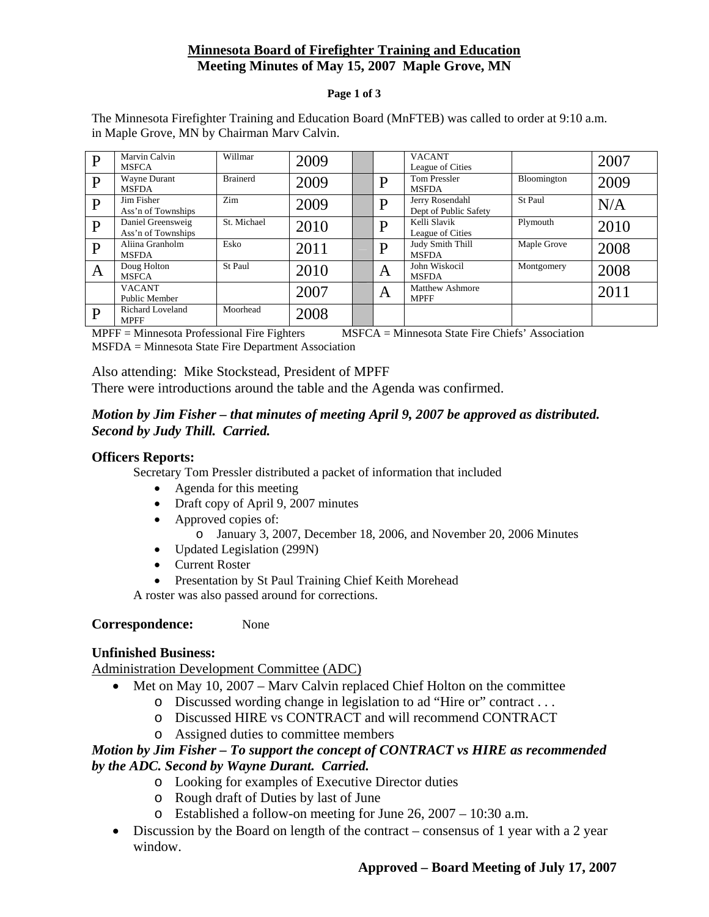## **Minnesota Board of Firefighter Training and Education Meeting Minutes of May 15, 2007 Maple Grove, MN**

#### **Page 1 of 3**

The Minnesota Firefighter Training and Education Board (MnFTEB) was called to order at 9:10 a.m. in Maple Grove, MN by Chairman Marv Calvin.

| D | Marvin Calvin<br><b>MSFCA</b>           | Willmar         | 2009 |   | <b>VACANT</b><br>League of Cities        |             | 2007 |
|---|-----------------------------------------|-----------------|------|---|------------------------------------------|-------------|------|
| D | Wayne Durant<br><b>MSFDA</b>            | <b>Brainerd</b> | 2009 | D | <b>Tom Pressler</b><br><b>MSFDA</b>      | Bloomington | 2009 |
| D | Jim Fisher<br>Ass'n of Townships        | Zim             | 2009 | D | Jerry Rosendahl<br>Dept of Public Safety | St Paul     | N/A  |
| D | Daniel Greensweig<br>Ass'n of Townships | St. Michael     | 2010 | D | Kelli Slavik<br>League of Cities         | Plymouth    | 2010 |
| D | Aliina Granholm<br><b>MSFDA</b>         | Esko            | 2011 | D | Judy Smith Thill<br><b>MSFDA</b>         | Maple Grove | 2008 |
| A | Doug Holton<br><b>MSFCA</b>             | St Paul         | 2010 | A | John Wiskocil<br><b>MSFDA</b>            | Montgomery  | 2008 |
|   | <b>VACANT</b><br>Public Member          |                 | 2007 | A | <b>Matthew Ashmore</b><br><b>MPFF</b>    |             | 2011 |
| P | <b>Richard Loveland</b><br><b>MPFF</b>  | Moorhead        | 2008 |   |                                          |             |      |

MPFF = Minnesota Professional Fire Fighters MSFCA = Minnesota State Fire Chiefs' Association MSFDA = Minnesota State Fire Department Association

Also attending: Mike Stockstead, President of MPFF There were introductions around the table and the Agenda was confirmed.

### *Motion by Jim Fisher – that minutes of meeting April 9, 2007 be approved as distributed. Second by Judy Thill. Carried.*

#### **Officers Reports:**

Secretary Tom Pressler distributed a packet of information that included

- Agenda for this meeting
- Draft copy of April 9, 2007 minutes
- Approved copies of:
	- o January 3, 2007, December 18, 2006, and November 20, 2006 Minutes
- Updated Legislation (299N)
- Current Roster
- Presentation by St Paul Training Chief Keith Morehead

A roster was also passed around for corrections.

#### **Correspondence:** None

#### **Unfinished Business:**

Administration Development Committee (ADC)

- Met on May 10, 2007 Mary Calvin replaced Chief Holton on the committee
	- o Discussed wording change in legislation to ad "Hire or" contract . . .
	- o Discussed HIRE vs CONTRACT and will recommend CONTRACT
	- o Assigned duties to committee members

#### *Motion by Jim Fisher – To support the concept of CONTRACT vs HIRE as recommended by the ADC. Second by Wayne Durant. Carried.*

- o Looking for examples of Executive Director duties
- o Rough draft of Duties by last of June
- o Established a follow-on meeting for June 26, 2007 10:30 a.m.
- Discussion by the Board on length of the contract consensus of 1 year with a 2 year window.

## **Approved – Board Meeting of July 17, 2007**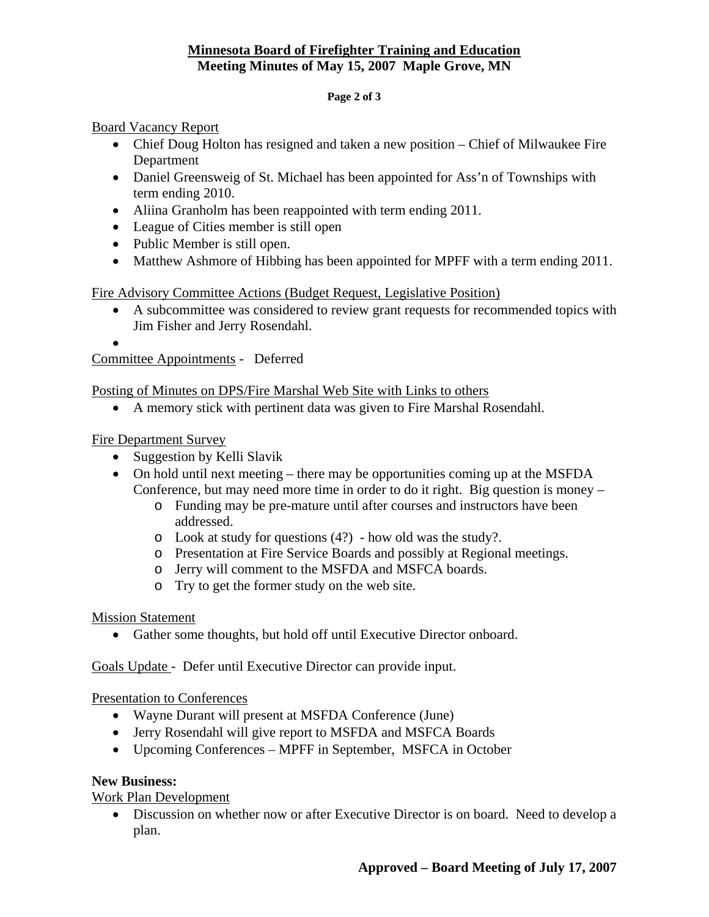## **Minnesota Board of Firefighter Training and Education Meeting Minutes of May 15, 2007 Maple Grove, MN**

#### **Page 2 of 3**

Board Vacancy Report

- Chief Doug Holton has resigned and taken a new position Chief of Milwaukee Fire Department
- Daniel Greensweig of St. Michael has been appointed for Ass'n of Townships with term ending 2010.
- Aliina Granholm has been reappointed with term ending 2011.
- League of Cities member is still open
- Public Member is still open.
- Matthew Ashmore of Hibbing has been appointed for MPFF with a term ending 2011.

Fire Advisory Committee Actions (Budget Request, Legislative Position)

- A subcommittee was considered to review grant requests for recommended topics with Jim Fisher and Jerry Rosendahl.
- •

Committee Appointments - Deferred

Posting of Minutes on DPS/Fire Marshal Web Site with Links to others

• A memory stick with pertinent data was given to Fire Marshal Rosendahl.

Fire Department Survey

- Suggestion by Kelli Slavik
- On hold until next meeting there may be opportunities coming up at the MSFDA Conference, but may need more time in order to do it right. Big question is money –
	- o Funding may be pre-mature until after courses and instructors have been addressed.
	- o Look at study for questions (4?) how old was the study?.
	- o Presentation at Fire Service Boards and possibly at Regional meetings.
	- o Jerry will comment to the MSFDA and MSFCA boards.
	- o Try to get the former study on the web site.

#### Mission Statement

• Gather some thoughts, but hold off until Executive Director onboard.

Goals Update - Defer until Executive Director can provide input.

#### Presentation to Conferences

- Wayne Durant will present at MSFDA Conference (June)
- Jerry Rosendahl will give report to MSFDA and MSFCA Boards
- Upcoming Conferences MPFF in September, MSFCA in October

#### **New Business:**

Work Plan Development

• Discussion on whether now or after Executive Director is on board. Need to develop a plan.